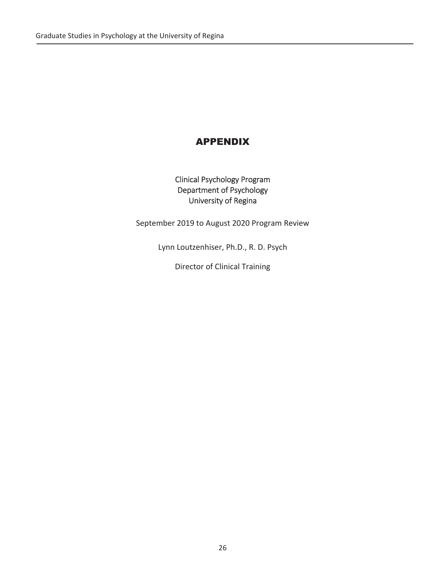# APPENDIX

Clinical Psychology Program Department of Psychology University of Regina

September 2019 to August 2020 Program Review

Lynn Loutzenhiser, Ph.D., R. D. Psych

Director of Clinical Training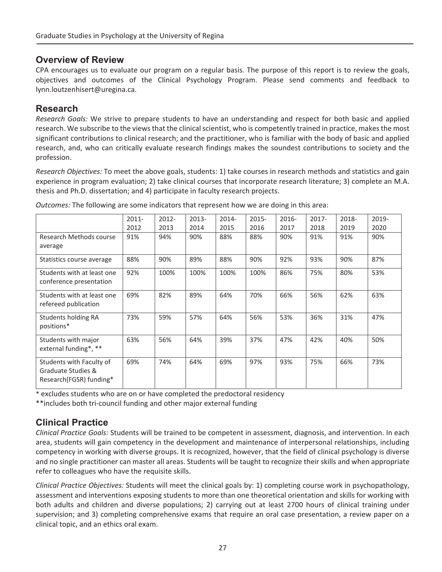## **Overview of Review**

CPA encourages us to evaluate our program on a regular basis. The purpose of this report is to review the goals, objectives and outcomes of the Clinical Psychology Program. Please send comments and feedback to lynn.loutzenhisert@uregina.ca.

## **Research**

*Research Goals:* We strive to prepare students to have an understanding and respect for both basic and applied research. We subscribe to the views that the clinical scientist, who is competently trained in practice, makes the most significant contributions to clinical research; and the practitioner, who is familiar with the body of basic and applied research, and, who can critically evaluate research findings makes the soundest contributions to society and the profession.

*Research Objectives:* To meet the above goals, students: 1) take courses in research methods and statistics and gain experience in program evaluation; 2) take clinical courses that incorporate research literature; 3) complete an M.A. thesis and Ph.D. dissertation; and 4) participate in faculty research projects.

|                            | $2011 -$ | 2012- | 2013- | $2014 -$ | $2015 -$ | $2016 -$ | $2017 -$ | 2018- | 2019- |
|----------------------------|----------|-------|-------|----------|----------|----------|----------|-------|-------|
|                            | 2012     | 2013  | 2014  | 2015     | 2016     | 2017     | 2018     | 2019  | 2020  |
| Research Methods course    | 91%      | 94%   | 90%   | 88%      | 88%      | 90%      | 91%      | 91%   | 90%   |
| average                    |          |       |       |          |          |          |          |       |       |
| Statistics course average  | 88%      | 90%   | 89%   | 88%      | 90%      | 92%      | 93%      | 90%   | 87%   |
| Students with at least one | 92%      | 100%  | 100%  | 100%     | 100%     | 86%      | 75%      | 80%   | 53%   |
| conference presentation    |          |       |       |          |          |          |          |       |       |
| Students with at least one | 69%      | 82%   | 89%   | 64%      | 70%      | 66%      | 56%      | 62%   | 63%   |
| refereed publication       |          |       |       |          |          |          |          |       |       |
| Students holding RA        | 73%      | 59%   | 57%   | 64%      | 56%      | 53%      | 36%      | 31%   | 47%   |
| positions*                 |          |       |       |          |          |          |          |       |       |
| Students with major        | 63%      | 56%   | 64%   | 39%      | 37%      | 47%      | 42%      | 40%   | 50%   |
| external funding*, **      |          |       |       |          |          |          |          |       |       |
| Students with Faculty of   | 69%      | 74%   | 64%   | 69%      | 97%      | 93%      | 75%      | 66%   | 73%   |
| Graduate Studies &         |          |       |       |          |          |          |          |       |       |
| Research(FGSR) funding*    |          |       |       |          |          |          |          |       |       |

*Outcomes:* The following are some indicators that represent how we are doing in this area:

\* excludes students who are on or have completed the predoctoral residency

\*\*includes both tri-council funding and other major external funding

# **Clinical Practice**

*Clinical Practice Goals:* Students will be trained to be competent in assessment, diagnosis, and intervention. In each area, students will gain competency in the development and maintenance of interpersonal relationships, including competency in working with diverse groups. It is recognized, however, that the field of clinical psychology is diverse and no single practitioner can master all areas. Students will be taught to recognize their skills and when appropriate refer to colleagues who have the requisite skills.

*Clinical Practice Objectives:* Students will meet the clinical goals by: 1) completing course work in psychopathology, assessment and interventions exposing students to more than one theoretical orientation and skills for working with both adults and children and diverse populations; 2) carrying out at least 2700 hours of clinical training under supervision; and 3) completing comprehensive exams that require an oral case presentation, a review paper on a clinical topic, and an ethics oral exam.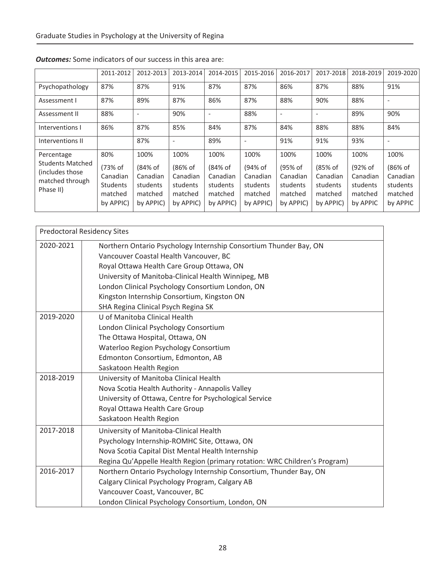|                                                                                          | 2011-2012                                                             | 2012-2013                                                       | 2013-2014                                                       | 2014-2015                                                       | 2015-2016                                                       | 2016-2017                                                       | 2017-2018                                                       | 2018-2019                                                      | 2019-2020                                                      |
|------------------------------------------------------------------------------------------|-----------------------------------------------------------------------|-----------------------------------------------------------------|-----------------------------------------------------------------|-----------------------------------------------------------------|-----------------------------------------------------------------|-----------------------------------------------------------------|-----------------------------------------------------------------|----------------------------------------------------------------|----------------------------------------------------------------|
| Psychopathology                                                                          | 87%                                                                   | 87%                                                             | 91%                                                             | 87%                                                             | 87%                                                             | 86%                                                             | 87%                                                             | 88%                                                            | 91%                                                            |
| Assessment I                                                                             | 87%                                                                   | 89%                                                             | 87%                                                             | 86%                                                             | 87%                                                             | 88%                                                             | 90%                                                             | 88%                                                            | $\overline{\phantom{a}}$                                       |
| Assessment II                                                                            | 88%                                                                   | ٠                                                               | 90%                                                             |                                                                 | 88%                                                             | $\overline{\phantom{a}}$                                        | $\overline{\phantom{a}}$                                        | 89%                                                            | 90%                                                            |
| Interventions I                                                                          | 86%                                                                   | 87%                                                             | 85%                                                             | 84%                                                             | 87%                                                             | 84%                                                             | 88%                                                             | 88%                                                            | 84%                                                            |
| Interventions II                                                                         |                                                                       | 87%                                                             | $\overline{\phantom{a}}$                                        | 89%                                                             | $\overline{\phantom{a}}$                                        | 91%                                                             | 91%                                                             | 93%                                                            | $\overline{\phantom{a}}$                                       |
| Percentage<br><b>Students Matched</b><br>(includes those<br>matched through<br>Phase II) | 80%<br>(73% of<br>Canadian<br><b>Students</b><br>matched<br>by APPIC) | 100%<br>(84% of<br>Canadian<br>students<br>matched<br>by APPIC) | 100%<br>(86% of<br>Canadian<br>students<br>matched<br>by APPIC) | 100%<br>(84% of<br>Canadian<br>students<br>matched<br>by APPIC) | 100%<br>(94% of<br>Canadian<br>students<br>matched<br>by APPIC) | 100%<br>(95% of<br>Canadian<br>students<br>matched<br>by APPIC) | 100%<br>(85% of<br>Canadian<br>students<br>matched<br>by APPIC) | 100%<br>(92% of<br>Canadian<br>students<br>matched<br>by APPIC | 100%<br>(86% of<br>Canadian<br>students<br>matched<br>by APPIC |

## *Outcomes:* Some indicators of our success in this area are:

|           | <b>Predoctoral Residency Sites</b>                                         |
|-----------|----------------------------------------------------------------------------|
| 2020-2021 | Northern Ontario Psychology Internship Consortium Thunder Bay, ON          |
|           | Vancouver Coastal Health Vancouver, BC                                     |
|           | Royal Ottawa Health Care Group Ottawa, ON                                  |
|           | University of Manitoba-Clinical Health Winnipeg, MB                        |
|           | London Clinical Psychology Consortium London, ON                           |
|           | Kingston Internship Consortium, Kingston ON                                |
|           | SHA Regina Clinical Psych Regina SK                                        |
| 2019-2020 | U of Manitoba Clinical Health                                              |
|           | London Clinical Psychology Consortium                                      |
|           | The Ottawa Hospital, Ottawa, ON                                            |
|           | Waterloo Region Psychology Consortium                                      |
|           | Edmonton Consortium, Edmonton, AB                                          |
|           | Saskatoon Health Region                                                    |
| 2018-2019 | University of Manitoba Clinical Health                                     |
|           | Nova Scotia Health Authority - Annapolis Valley                            |
|           | University of Ottawa, Centre for Psychological Service                     |
|           | Royal Ottawa Health Care Group                                             |
|           | Saskatoon Health Region                                                    |
| 2017-2018 | University of Manitoba-Clinical Health                                     |
|           | Psychology Internship-ROMHC Site, Ottawa, ON                               |
|           | Nova Scotia Capital Dist Mental Health Internship                          |
|           | Regina Qu'Appelle Health Region (primary rotation: WRC Children's Program) |
| 2016-2017 | Northern Ontario Psychology Internship Consortium, Thunder Bay, ON         |
|           | Calgary Clinical Psychology Program, Calgary AB                            |
|           | Vancouver Coast, Vancouver, BC                                             |
|           | London Clinical Psychology Consortium, London, ON                          |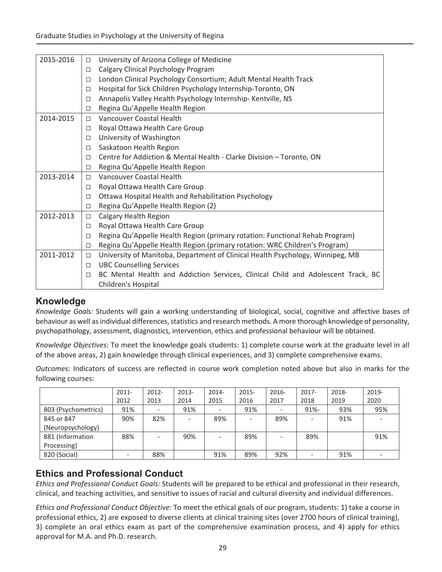| 2015-2016<br>University of Arizona College of Medicine<br>$\Box$<br>Calgary Clinical Psychology Program<br>$\Box$<br>London Clinical Psychology Consortium; Adult Mental Health Track<br>$\Box$<br>Hospital for Sick Children Psychology Internship-Toronto, ON<br>$\Box$<br>Annapolis Valley Health Psychology Internship- Kentville, NS<br>$\Box$<br>Regina Qu'Appelle Health Region<br>□<br>Vancouver Coastal Health<br>2014-2015<br>$\Box$<br>Royal Ottawa Health Care Group<br>□<br>University of Washington<br>$\Box$<br>Saskatoon Health Region<br>$\Box$<br>Centre for Addiction & Mental Health - Clarke Division - Toronto, ON<br>$\Box$<br>Regina Qu'Appelle Health Region<br>□<br><b>Vancouver Coastal Health</b><br>2013-2014<br>$\Box$<br>Royal Ottawa Health Care Group<br>□<br>Ottawa Hospital Health and Rehabilitation Psychology<br>$\Box$<br>Regina Qu'Appelle Health Region (2)<br>□<br>2012-2013<br>Calgary Health Region<br>$\Box$<br>Royal Ottawa Health Care Group<br>$\Box$<br>Regina Qu'Appelle Health Region (primary rotation: Functional Rehab Program)<br>$\Box$<br>Regina Qu'Appelle Health Region (primary rotation: WRC Children's Program)<br>$\Box$<br>2011-2012<br>University of Manitoba, Department of Clinical Health Psychology, Winnipeg, MB<br>$\Box$<br><b>UBC Counselling Services</b><br>$\Box$<br>BC Mental Health and Addiction Services, Clinical Child and Adolescent Track, BC<br>$\Box$<br>Children's Hospital |  |  |
|--------------------------------------------------------------------------------------------------------------------------------------------------------------------------------------------------------------------------------------------------------------------------------------------------------------------------------------------------------------------------------------------------------------------------------------------------------------------------------------------------------------------------------------------------------------------------------------------------------------------------------------------------------------------------------------------------------------------------------------------------------------------------------------------------------------------------------------------------------------------------------------------------------------------------------------------------------------------------------------------------------------------------------------------------------------------------------------------------------------------------------------------------------------------------------------------------------------------------------------------------------------------------------------------------------------------------------------------------------------------------------------------------------------------------------------------------------------------|--|--|
|                                                                                                                                                                                                                                                                                                                                                                                                                                                                                                                                                                                                                                                                                                                                                                                                                                                                                                                                                                                                                                                                                                                                                                                                                                                                                                                                                                                                                                                                    |  |  |
|                                                                                                                                                                                                                                                                                                                                                                                                                                                                                                                                                                                                                                                                                                                                                                                                                                                                                                                                                                                                                                                                                                                                                                                                                                                                                                                                                                                                                                                                    |  |  |
|                                                                                                                                                                                                                                                                                                                                                                                                                                                                                                                                                                                                                                                                                                                                                                                                                                                                                                                                                                                                                                                                                                                                                                                                                                                                                                                                                                                                                                                                    |  |  |
|                                                                                                                                                                                                                                                                                                                                                                                                                                                                                                                                                                                                                                                                                                                                                                                                                                                                                                                                                                                                                                                                                                                                                                                                                                                                                                                                                                                                                                                                    |  |  |
|                                                                                                                                                                                                                                                                                                                                                                                                                                                                                                                                                                                                                                                                                                                                                                                                                                                                                                                                                                                                                                                                                                                                                                                                                                                                                                                                                                                                                                                                    |  |  |
|                                                                                                                                                                                                                                                                                                                                                                                                                                                                                                                                                                                                                                                                                                                                                                                                                                                                                                                                                                                                                                                                                                                                                                                                                                                                                                                                                                                                                                                                    |  |  |
|                                                                                                                                                                                                                                                                                                                                                                                                                                                                                                                                                                                                                                                                                                                                                                                                                                                                                                                                                                                                                                                                                                                                                                                                                                                                                                                                                                                                                                                                    |  |  |
|                                                                                                                                                                                                                                                                                                                                                                                                                                                                                                                                                                                                                                                                                                                                                                                                                                                                                                                                                                                                                                                                                                                                                                                                                                                                                                                                                                                                                                                                    |  |  |
|                                                                                                                                                                                                                                                                                                                                                                                                                                                                                                                                                                                                                                                                                                                                                                                                                                                                                                                                                                                                                                                                                                                                                                                                                                                                                                                                                                                                                                                                    |  |  |
|                                                                                                                                                                                                                                                                                                                                                                                                                                                                                                                                                                                                                                                                                                                                                                                                                                                                                                                                                                                                                                                                                                                                                                                                                                                                                                                                                                                                                                                                    |  |  |
|                                                                                                                                                                                                                                                                                                                                                                                                                                                                                                                                                                                                                                                                                                                                                                                                                                                                                                                                                                                                                                                                                                                                                                                                                                                                                                                                                                                                                                                                    |  |  |
|                                                                                                                                                                                                                                                                                                                                                                                                                                                                                                                                                                                                                                                                                                                                                                                                                                                                                                                                                                                                                                                                                                                                                                                                                                                                                                                                                                                                                                                                    |  |  |
|                                                                                                                                                                                                                                                                                                                                                                                                                                                                                                                                                                                                                                                                                                                                                                                                                                                                                                                                                                                                                                                                                                                                                                                                                                                                                                                                                                                                                                                                    |  |  |
|                                                                                                                                                                                                                                                                                                                                                                                                                                                                                                                                                                                                                                                                                                                                                                                                                                                                                                                                                                                                                                                                                                                                                                                                                                                                                                                                                                                                                                                                    |  |  |
|                                                                                                                                                                                                                                                                                                                                                                                                                                                                                                                                                                                                                                                                                                                                                                                                                                                                                                                                                                                                                                                                                                                                                                                                                                                                                                                                                                                                                                                                    |  |  |
|                                                                                                                                                                                                                                                                                                                                                                                                                                                                                                                                                                                                                                                                                                                                                                                                                                                                                                                                                                                                                                                                                                                                                                                                                                                                                                                                                                                                                                                                    |  |  |
|                                                                                                                                                                                                                                                                                                                                                                                                                                                                                                                                                                                                                                                                                                                                                                                                                                                                                                                                                                                                                                                                                                                                                                                                                                                                                                                                                                                                                                                                    |  |  |
|                                                                                                                                                                                                                                                                                                                                                                                                                                                                                                                                                                                                                                                                                                                                                                                                                                                                                                                                                                                                                                                                                                                                                                                                                                                                                                                                                                                                                                                                    |  |  |
|                                                                                                                                                                                                                                                                                                                                                                                                                                                                                                                                                                                                                                                                                                                                                                                                                                                                                                                                                                                                                                                                                                                                                                                                                                                                                                                                                                                                                                                                    |  |  |
|                                                                                                                                                                                                                                                                                                                                                                                                                                                                                                                                                                                                                                                                                                                                                                                                                                                                                                                                                                                                                                                                                                                                                                                                                                                                                                                                                                                                                                                                    |  |  |
|                                                                                                                                                                                                                                                                                                                                                                                                                                                                                                                                                                                                                                                                                                                                                                                                                                                                                                                                                                                                                                                                                                                                                                                                                                                                                                                                                                                                                                                                    |  |  |
|                                                                                                                                                                                                                                                                                                                                                                                                                                                                                                                                                                                                                                                                                                                                                                                                                                                                                                                                                                                                                                                                                                                                                                                                                                                                                                                                                                                                                                                                    |  |  |
|                                                                                                                                                                                                                                                                                                                                                                                                                                                                                                                                                                                                                                                                                                                                                                                                                                                                                                                                                                                                                                                                                                                                                                                                                                                                                                                                                                                                                                                                    |  |  |
|                                                                                                                                                                                                                                                                                                                                                                                                                                                                                                                                                                                                                                                                                                                                                                                                                                                                                                                                                                                                                                                                                                                                                                                                                                                                                                                                                                                                                                                                    |  |  |

# **Knowledge**

*Knowledge Goals:* Students will gain a working understanding of biological, social, cognitive and affective bases of behaviour as well as individual differences, statistics and research methods. A more thorough knowledge of personality, psychopathology, assessment, diagnostics, intervention, ethics and professional behaviour will be obtained.

*Knowledge Objectives:* To meet the knowledge goals students: 1) complete course work at the graduate level in all of the above areas, 2) gain knowledge through clinical experiences, and 3) complete comprehensive exams.

*Outcomes:* Indicators of success are reflected in course work completion noted above but also in marks for the following courses:

|                     | $2011 -$ | 2012- | 2013-  | 2014- | $2015 -$ | 2016- | $2017 -$ | 2018- | 2019- |
|---------------------|----------|-------|--------|-------|----------|-------|----------|-------|-------|
|                     | 2012     | 2013  | 2014   | 2015  | 2016     | 2017  | 2018     | 2019  | 2020  |
| 803 (Psychometrics) | 91%      |       | 91%    |       | 91%      |       | $91% -$  | 93%   | 95%   |
| 845 or 847          | 90%      | 82%   | $\sim$ | 89%   |          | 89%   |          | 91%   |       |
| (Neuropsychology)   |          |       |        |       |          |       |          |       |       |
| 881 (Information    | 88%      |       | 90%    |       | 89%      |       | 89%      |       | 91%   |
| Processing)         |          |       |        |       |          |       |          |       |       |
| 820 (Social)        |          | 88%   |        | 91%   | 89%      | 92%   |          | 91%   |       |

# **Ethics and Professional Conduct**

*Ethics and Professional Conduct Goals:* Students will be prepared to be ethical and professional in their research, clinical, and teaching activities, and sensitive to issues of racial and cultural diversity and individual differences.

*Ethics and Professional Conduct Objective:* To meet the ethical goals of our program, students: 1) take a course in professional ethics, 2) are exposed to diverse clients at clinical training sites (over 2700 hours of clinical training), 3) complete an oral ethics exam as part of the comprehensive examination process, and 4) apply for ethics approval for M.A. and Ph.D. research.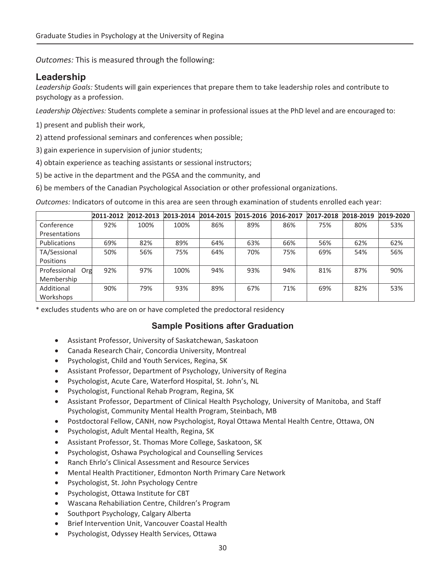*Outcomes:* This is measured through the following:

# **Leadership**

*Leadership Goals:* Students will gain experiences that prepare them to take leadership roles and contribute to psychology as a profession.

*Leadership Objectives:* Students complete a seminar in professional issues at the PhD level and are encouraged to:

- 1) present and publish their work,
- 2) attend professional seminars and conferences when possible;
- 3) gain experience in supervision of junior students;
- 4) obtain experience as teaching assistants or sessional instructors;
- 5) be active in the department and the PGSA and the community, and
- 6) be members of the Canadian Psychological Association or other professional organizations.

*Outcomes:* Indicators of outcome in this area are seen through examination of students enrolled each year:

|                     | 2011-2012 | 2012-2013 | 2013-2014 | 2014-2015 | 2015-2016 | 2016-2017 | 2017-2018 | 2018-2019 | 2019-2020 |
|---------------------|-----------|-----------|-----------|-----------|-----------|-----------|-----------|-----------|-----------|
| Conference          | 92%       | 100%      | 100%      | 86%       | 89%       | 86%       | 75%       | 80%       | 53%       |
| Presentations       |           |           |           |           |           |           |           |           |           |
| Publications        | 69%       | 82%       | 89%       | 64%       | 63%       | 66%       | 56%       | 62%       | 62%       |
| TA/Sessional        | 50%       | 56%       | 75%       | 64%       | 70%       | 75%       | 69%       | 54%       | 56%       |
| Positions           |           |           |           |           |           |           |           |           |           |
| Professional<br>Org | 92%       | 97%       | 100%      | 94%       | 93%       | 94%       | 81%       | 87%       | 90%       |
| Membership          |           |           |           |           |           |           |           |           |           |
| Additional          | 90%       | 79%       | 93%       | 89%       | 67%       | 71%       | 69%       | 82%       | 53%       |
| Workshops           |           |           |           |           |           |           |           |           |           |

\* excludes students who are on or have completed the predoctoral residency

## **Sample Positions after Graduation**

- **•** Assistant Professor, University of Saskatchewan, Saskatoon
- Canada Research Chair, Concordia University, Montreal
- Psychologist, Child and Youth Services, Regina, SK
- Assistant Professor, Department of Psychology, University of Regina
- Psychologist, Acute Care, Waterford Hospital, St. John's, NL
- Psychologist, Functional Rehab Program, Regina, SK
- Assistant Professor, Department of Clinical Health Psychology, University of Manitoba, and Staff Psychologist, Community Mental Health Program, Steinbach, MB
- Postdoctoral Fellow, CANH, now Psychologist, Royal Ottawa Mental Health Centre, Ottawa, ON
- Psychologist, Adult Mental Health, Regina, SK
- x Assistant Professor, St. Thomas More College, Saskatoon, SK
- Psychologist, Oshawa Psychological and Counselling Services
- Ranch Ehrlo's Clinical Assessment and Resource Services
- x Mental Health Practitioner, Edmonton North Primary Care Network
- Psychologist, St. John Psychology Centre
- Psychologist, Ottawa Institute for CBT
- x Wascana Rehabiliation Centre, Children's Program
- Southport Psychology, Calgary Alberta
- Brief Intervention Unit, Vancouver Coastal Health
- Psychologist, Odyssey Health Services, Ottawa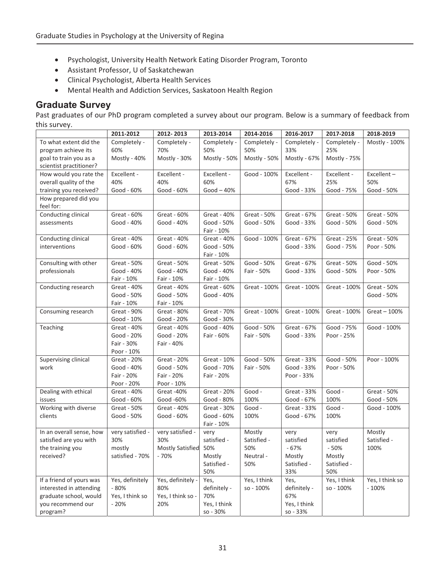- Psychologist, University Health Network Eating Disorder Program, Toronto
- **•** Assistant Professor, U of Saskatchewan
- Clinical Psychologist, Alberta Health Services
- Mental Health and Addiction Services, Saskatoon Health Region

## **Graduate Survey**

Past graduates of our PhD program completed a survey about our program. Below is a summary of feedback from this survey.

|                          | 2011-2012        | 2012-2013               | 2013-2014          | 2014-2016    | 2016-2017          | 2017-2018    | 2018-2019       |
|--------------------------|------------------|-------------------------|--------------------|--------------|--------------------|--------------|-----------------|
| To what extent did the   | Completely -     | Completely -            | Completely -       | Completely - | Completely -       | Completely - | Mostly - 100%   |
| program achieve its      | 60%              | 70%                     | 50%                | 50%          | 33%                | 25%          |                 |
| goal to train you as a   | Mostly - 40%     | Mostly - 30%            | Mostly - 50%       | Mostly - 50% | Mostly - 67%       | Mostly - 75% |                 |
| scientist practitioner?  |                  |                         |                    |              |                    |              |                 |
| How would you rate the   | Excellent -      | Excellent -             | Excellent -        | Good - 100%  | Excellent -        | Excellent -  | Excellent-      |
| overall quality of the   | 40%              | 40%                     | 60%                |              | 67%                | 25%          | 50%             |
| training you received?   | Good - 60%       | Good - 60%              | $Good-40%$         |              | Good - 33%         | Good - 75%   | Good - 50%      |
| How prepared did you     |                  |                         |                    |              |                    |              |                 |
| feel for:                |                  |                         |                    |              |                    |              |                 |
| Conducting clinical      | Great - 60%      | Great - 60%             | <b>Great - 40%</b> | Great - 50%  | Great - 67%        | Great - 50%  | Great - 50%     |
| assessments              | Good - 40%       | Good - 40%              | Good - 50%         | Good - 50%   | Good - 33%         | Good - 50%   | Good - 50%      |
|                          |                  |                         | Fair - 10%         |              |                    |              |                 |
| Conducting clinical      | Great - 40%      | Great - 40%             | Great - 40%        | Good - 100%  | Great - 67%        | Great - 25%  | Great - 50%     |
| interventions            | Good - 60%       | Good - 60%              | Good - 50%         |              | Good - 33%         | Good - 75%   | Poor - 50%      |
|                          |                  |                         | Fair - 10%         |              |                    |              |                 |
| Consulting with other    | Great - 50%      | Great - 50%             | Great - 50%        | Good - 50%   | Great - 67%        | Great - 50%  | Good - 50%      |
| professionals            | Good - 40%       | Good - 40%              | Good - 40%         | Fair - 50%   | Good - 33%         | Good - 50%   | Poor - 50%      |
|                          | Fair - 10%       | Fair - 10%              | Fair - 10%         |              |                    |              |                 |
| Conducting research      | Great - 40%      | Great - 40%             | Great - 60%        | Great - 100% | Great - 100%       | Great - 100% | Great - 50%     |
|                          | Good - 50%       | Good - 50%              | Good - 40%         |              |                    |              | Good - 50%      |
|                          | Fair - 10%       | Fair - 10%              |                    |              |                    |              |                 |
| Consuming research       | Great - 90%      | Great - 80%             | Great - 70%        | Great - 100% | Great - 100%       | Great - 100% | $Great - 100%$  |
|                          | Good - 10%       | Good - 20%              | Good - 30%         |              |                    |              |                 |
| Teaching                 | Great - 40%      | Great - 40%             | Good - 40%         | Good - 50%   | Great - 67%        | Good - 75%   | Good - 100%     |
|                          | Good - 20%       | Good - 20%              | Fair - 60%         | Fair - 50%   | Good - 33%         | Poor - 25%   |                 |
|                          | Fair - 30%       | Fair - 40%              |                    |              |                    |              |                 |
|                          | Poor - 10%       |                         |                    |              |                    |              |                 |
| Supervising clinical     | Great - 20%      | Great - 20%             | Great - 10%        | Good - 50%   | Great - 33%        | Good - 50%   | Poor - 100%     |
| work                     | Good - 40%       | Good - 50%              | Good - 70%         | Fair - 50%   | Good - 33%         | Poor - 50%   |                 |
|                          | Fair - 20%       | Fair - 20%              | Fair - 20%         |              | Poor - 33%         |              |                 |
|                          | Poor - 20%       | Poor - 10%              |                    |              |                    |              |                 |
| Dealing with ethical     | Great - 40%      | Great-40%               | <b>Great - 20%</b> | Good -       | <b>Great - 33%</b> | Good -       | Great - 50%     |
| issues                   | Good - 60%       | Good -60%               | Good - 80%         | 100%         | Good - 67%         | 100%         | Good - 50%      |
| Working with diverse     | Great - 50%      | Great - 40%             | Great - 30%        | Good -       | Great - 33%        | Good -       | Good - 100%     |
| clients                  | Good - 50%       | Good - 60%              | Good - 60%         | 100%         | Good - 67%         | 100%         |                 |
|                          |                  |                         | Fair - 10%         |              |                    |              |                 |
| In an overall sense, how | very satisfied - | very satisfied -        | very               | Mostly       | very               | very         | Mostly          |
| satisfied are you with   | 30%              | 30%                     | satisfied -        | Satisfied -  | satisfied          | satisfied    | Satisfied -     |
| the training you         | mostly           | <b>Mostly Satisfied</b> | 50%                | 50%          | $-67%$             | $-50%$       | 100%            |
| received?                | satisfied - 70%  | - 70%                   | Mostly             | Neutral-     | Mostly             | Mostly       |                 |
|                          |                  |                         | Satisfied -        | 50%          | Satisfied -        | Satisfied -  |                 |
|                          |                  |                         | 50%                |              | 33%                | 50%          |                 |
| If a friend of yours was | Yes, definitely  | Yes, definitely -       | Yes,               | Yes, I think | Yes,               | Yes, I think | Yes, I think so |
| interested in attending  | $-80%$           | 80%                     | definitely -       | so - 100%    | definitely -       | so - 100%    | $-100%$         |
| graduate school, would   | Yes, I think so  | Yes, I think so -       | 70%                |              | 67%                |              |                 |
| you recommend our        | $-20%$           | 20%                     | Yes, I think       |              | Yes, I think       |              |                 |
| program?                 |                  |                         | so - 30%           |              | so - 33%           |              |                 |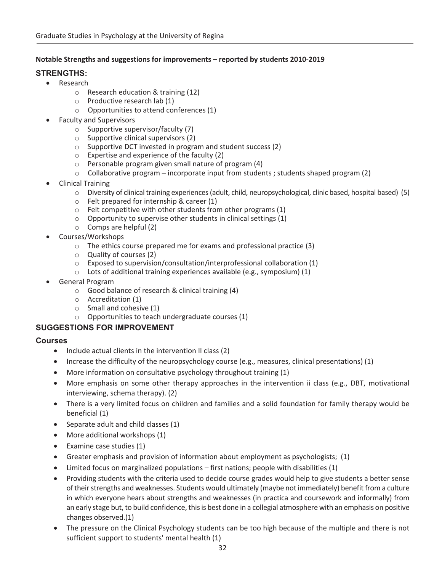#### **Notable Strengths and suggestions for improvements – reported by students 2010Ͳ2019**

### **STRENGTHS:**

- Research
	- o Research education & training (12)
	- o Productive research lab (1)
	- o Opportunities to attend conferences (1)
- Faculty and Supervisors
	- o Supportive supervisor/faculty (7)
	- o Supportive clinical supervisors (2)
	- o Supportive DCT invested in program and student success (2)
	- o Expertise and experience of the faculty (2)
	- o Personable program given small nature of program (4)
	- $\circ$  Collaborative program incorporate input from students ; students shaped program (2)
- **Clinical Training** 
	- $\circ$  Diversity of clinical training experiences (adult, child, neuropsychological, clinic based, hospital based) (5)
	- o Felt prepared for internship & career (1)
	- o Felt competitive with other students from other programs (1)
	- $\circ$  Opportunity to supervise other students in clinical settings (1)
	- o Comps are helpful (2)
- Courses/Workshops
	- o The ethics course prepared me for exams and professional practice (3)
	- o Quality of courses (2)
	- o Exposed to supervision/consultation/interprofessional collaboration (1)
	- $\circ$  Lots of additional training experiences available (e.g., symposium) (1)
- General Program
	- o Good balance of research & clinical training (4)
	- o Accreditation (1)
	- o Small and cohesive (1)
	- o Opportunities to teach undergraduate courses (1)

### **SUGGESTIONS FOR IMPROVEMENT**

#### **Courses**

- $\bullet$  Include actual clients in the intervention II class (2)
- Increase the difficulty of the neuropsychology course (e.g., measures, clinical presentations) (1)
- More information on consultative psychology throughout training (1)
- More emphasis on some other therapy approaches in the intervention ii class (e.g., DBT, motivational interviewing, schema therapy). (2)
- There is a very limited focus on children and families and a solid foundation for family therapy would be beneficial (1)
- $\bullet$  Separate adult and child classes (1)
- $\bullet$  More additional workshops (1)
- $\bullet$  Examine case studies (1)
- Greater emphasis and provision of information about employment as psychologists;  $(1)$
- $\bullet$  Limited focus on marginalized populations first nations; people with disabilities (1)
- Providing students with the criteria used to decide course grades would help to give students a better sense of their strengths and weaknesses. Students would ultimately (maybe not immediately) benefit from a culture in which everyone hears about strengths and weaknesses (in practica and coursework and informally) from an early stage but, to build confidence, this is best done in a collegial atmosphere with an emphasis on positive changes observed.(1)
- The pressure on the Clinical Psychology students can be too high because of the multiple and there is not sufficient support to students' mental health (1)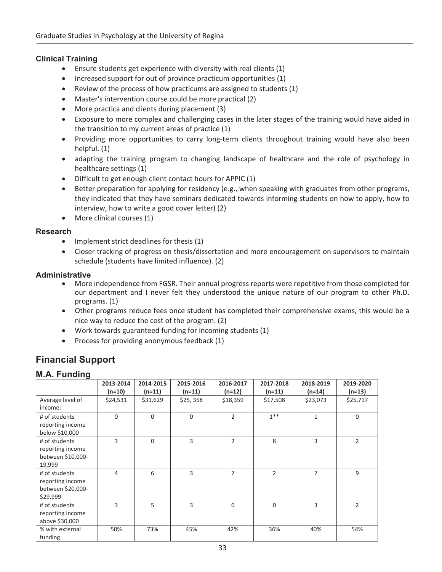### **Clinical Training**

- Ensure students get experience with diversity with real clients  $(1)$
- $\bullet$  Increased support for out of province practicum opportunities (1)
- Review of the process of how practicums are assigned to students  $(1)$
- Master's intervention course could be more practical (2)
- More practica and clients during placement (3)
- Exposure to more complex and challenging cases in the later stages of the training would have aided in the transition to my current areas of practice (1)
- Providing more opportunities to carry long-term clients throughout training would have also been helpful. (1)
- adapting the training program to changing landscape of healthcare and the role of psychology in healthcare settings (1)
- Difficult to get enough client contact hours for APPIC (1)
- Better preparation for applying for residency (e.g., when speaking with graduates from other programs, they indicated that they have seminars dedicated towards informing students on how to apply, how to interview, how to write a good cover letter) (2)
- More clinical courses (1)

### **Research**

- $\bullet$  Implement strict deadlines for thesis (1)
- Closer tracking of progress on thesis/dissertation and more encouragement on supervisors to maintain schedule (students have limited influence). (2)

#### **Administrative**

- More independence from FGSR. Their annual progress reports were repetitive from those completed for our department and I never felt they understood the unique nature of our program to other Ph.D. programs. (1)
- Other programs reduce fees once student has completed their comprehensive exams, this would be a nice way to reduce the cost of the program. (2)
- $\bullet$  Work towards guaranteed funding for incoming students (1)
- Process for providing anonymous feedback (1)

# **Financial Support**

### **M.A. Funding**

|                   | 2013-2014 | 2014-2015 | 2015-2016   | 2016-2017      | 2017-2018 | 2018-2019    | 2019-2020      |
|-------------------|-----------|-----------|-------------|----------------|-----------|--------------|----------------|
|                   | (n=10)    | $(n=11)$  | $(n=11)$    | (n=12)         | $(n=11)$  | $(n=14)$     | $(n=13)$       |
| Average level of  | \$24,531  | \$31,629  | \$25, 358   | \$18,359       | \$17,508  | \$23,073     | \$25,717       |
| income:           |           |           |             |                |           |              |                |
| # of students     | $\Omega$  | $\Omega$  | $\mathbf 0$ | $\overline{2}$ | $1***$    | $\mathbf{1}$ | $\mathbf 0$    |
| reporting income  |           |           |             |                |           |              |                |
| below \$10,000    |           |           |             |                |           |              |                |
| # of students     | 3         | $\Omega$  | 3           | $\overline{2}$ | 8         | 3            | $\overline{2}$ |
| reporting income  |           |           |             |                |           |              |                |
| between \$10,000- |           |           |             |                |           |              |                |
| 19,999            |           |           |             |                |           |              |                |
| # of students     | 4         | 6         | 3           | 7              | 2         | 7            | 9              |
| reporting income  |           |           |             |                |           |              |                |
| between \$20,000- |           |           |             |                |           |              |                |
| \$29,999          |           |           |             |                |           |              |                |
| # of students     | 3         | 5         | 3           | $\Omega$       | 0         | 3            | $\overline{2}$ |
| reporting income  |           |           |             |                |           |              |                |
| above \$30,000    |           |           |             |                |           |              |                |
| % with external   | 50%       | 73%       | 45%         | 42%            | 36%       | 40%          | 54%            |
| funding           |           |           |             |                |           |              |                |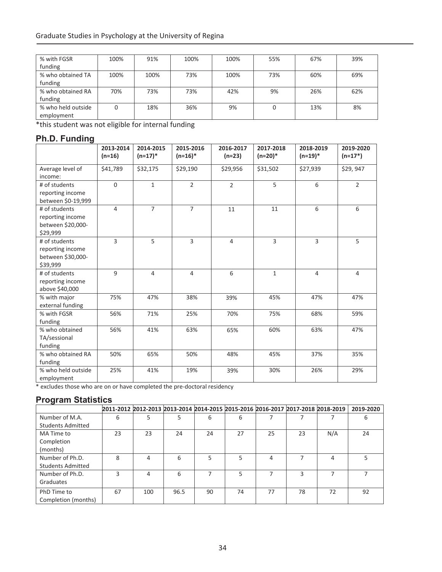| % with FGSR        | 100% | 91%  | 100% | 100% | 55% | 67% | 39% |
|--------------------|------|------|------|------|-----|-----|-----|
| funding            |      |      |      |      |     |     |     |
| % who obtained TA  | 100% | 100% | 73%  | 100% | 73% | 60% | 69% |
| funding            |      |      |      |      |     |     |     |
| % who obtained RA  | 70%  | 73%  | 73%  | 42%  | 9%  | 26% | 62% |
| funding            |      |      |      |      |     |     |     |
| % who held outside |      | 18%  | 36%  | 9%   | 0   | 13% | 8%  |
| employment         |      |      |      |      |     |     |     |

\*this student was not eligible for internal funding

# **Ph.D. Funding**

|                                                                    | 2013-2014<br>$(n=16)$ | 2014-2015<br>$(n=17)*$ | 2015-2016<br>$(n=16)*$ | 2016-2017<br>$(n=23)$ | 2017-2018<br>$(n=20)*$ | 2018-2019<br>$(n=19)*$ | 2019-2020<br>$(n=17*)$ |
|--------------------------------------------------------------------|-----------------------|------------------------|------------------------|-----------------------|------------------------|------------------------|------------------------|
| Average level of<br>income:                                        | \$41,789              | \$32,175               | \$29,190               | \$29,956              | \$31,502               | \$27,939               | \$29,947               |
| # of students<br>reporting income<br>between \$0-19,999            | $\Omega$              | $\mathbf{1}$           | $\overline{2}$         | $\overline{2}$        | 5                      | 6                      | $\overline{2}$         |
| # of students<br>reporting income<br>between \$20,000-<br>\$29,999 | 4                     | $\overline{7}$         | $\overline{7}$         | 11                    | 11                     | 6                      | 6                      |
| # of students<br>reporting income<br>between \$30,000-<br>\$39,999 | 3                     | 5                      | 3                      | 4                     | 3                      | 3                      | 5                      |
| # of students<br>reporting income<br>above \$40,000                | 9                     | $\overline{4}$         | 4                      | 6                     | $\mathbf{1}$           | $\overline{4}$         | $\overline{4}$         |
| % with major<br>external funding                                   | 75%                   | 47%                    | 38%                    | 39%                   | 45%                    | 47%                    | 47%                    |
| % with FGSR<br>funding                                             | 56%                   | 71%                    | 25%                    | 70%                   | 75%                    | 68%                    | 59%                    |
| % who obtained<br>TA/sessional<br>funding                          | 56%                   | 41%                    | 63%                    | 65%                   | 60%                    | 63%                    | 47%                    |
| % who obtained RA<br>funding                                       | 50%                   | 65%                    | 50%                    | 48%                   | 45%                    | 37%                    | 35%                    |
| % who held outside<br>employment                                   | 25%                   | 41%                    | 19%                    | 39%                   | 30%                    | 26%                    | 29%                    |

\* excludes those who are on or have completed the pre-doctoral residency

## **Program Statistics**

|                          | 2011-2012 2012-2013 2013-2014 2014-2015 2015-2016 2016-2017 2017-2018 2018-2019 |     |      |    |    |    |    |     | 2019-2020 |
|--------------------------|---------------------------------------------------------------------------------|-----|------|----|----|----|----|-----|-----------|
| Number of M.A.           | 6                                                                               | 5   |      | 6  | 6  |    |    |     | h         |
| <b>Students Admitted</b> |                                                                                 |     |      |    |    |    |    |     |           |
| MA Time to               | 23                                                                              | 23  | 24   | 24 | 27 | 25 | 23 | N/A | 24        |
| Completion               |                                                                                 |     |      |    |    |    |    |     |           |
| (months)                 |                                                                                 |     |      |    |    |    |    |     |           |
| Number of Ph.D.          | 8                                                                               | 4   | 6    | 5  | 5. | 4  |    | 4   |           |
| <b>Students Admitted</b> |                                                                                 |     |      |    |    |    |    |     |           |
| Number of Ph.D.          | з                                                                               | 4   | 6    |    | 5. |    | ς  |     |           |
| Graduates                |                                                                                 |     |      |    |    |    |    |     |           |
| PhD Time to              | 67                                                                              | 100 | 96.5 | 90 | 74 | 77 | 78 | 72  | 92        |
| Completion (months)      |                                                                                 |     |      |    |    |    |    |     |           |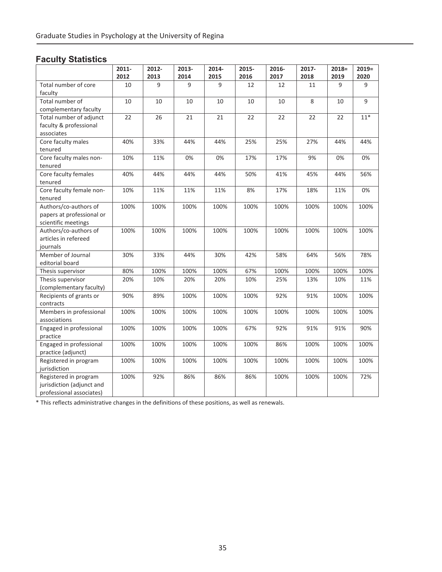# **Faculty Statistics**

|                                          | 2011- | 2012- | 2013- | 2014- | 2015- | 2016- | 2017- | $2018=$ | $2019=$ |
|------------------------------------------|-------|-------|-------|-------|-------|-------|-------|---------|---------|
|                                          | 2012  | 2013  | 2014  | 2015  | 2016  | 2017  | 2018  | 2019    | 2020    |
| Total number of core<br>faculty          | 10    | 9     | 9     | 9     | 12    | 12    | 11    | 9       | 9       |
| Total number of<br>complementary faculty | 10    | 10    | 10    | 10    | 10    | 10    | 8     | 10      | 9       |
| Total number of adjunct                  | 22    | 26    | 21    | 21    | 22    | 22    | 22    | 22      | $11*$   |
| faculty & professional                   |       |       |       |       |       |       |       |         |         |
| associates                               |       |       |       |       |       |       |       |         |         |
| Core faculty males                       | 40%   | 33%   | 44%   | 44%   | 25%   | 25%   | 27%   | 44%     | 44%     |
| tenured                                  |       |       |       |       |       |       |       |         |         |
| Core faculty males non-                  | 10%   | 11%   | 0%    | 0%    | 17%   | 17%   | 9%    | 0%      | 0%      |
| tenured                                  |       |       |       |       |       |       |       |         |         |
| Core faculty females                     | 40%   | 44%   | 44%   | 44%   | 50%   | 41%   | 45%   | 44%     | 56%     |
| tenured                                  |       |       |       |       |       |       |       |         |         |
| Core faculty female non-                 | 10%   | 11%   | 11%   | 11%   | 8%    | 17%   | 18%   | 11%     | 0%      |
| tenured<br>Authors/co-authors of         | 100%  | 100%  | 100%  | 100%  | 100%  | 100%  | 100%  |         | 100%    |
| papers at professional or                |       |       |       |       |       |       |       | 100%    |         |
| scientific meetings                      |       |       |       |       |       |       |       |         |         |
| Authors/co-authors of                    | 100%  | 100%  | 100%  | 100%  | 100%  | 100%  | 100%  | 100%    | 100%    |
| articles in refereed                     |       |       |       |       |       |       |       |         |         |
| journals                                 |       |       |       |       |       |       |       |         |         |
| Member of Journal                        | 30%   | 33%   | 44%   | 30%   | 42%   | 58%   | 64%   | 56%     | 78%     |
| editorial board                          |       |       |       |       |       |       |       |         |         |
| Thesis supervisor                        | 80%   | 100%  | 100%  | 100%  | 67%   | 100%  | 100%  | 100%    | 100%    |
| Thesis supervisor                        | 20%   | 10%   | 20%   | 20%   | 10%   | 25%   | 13%   | 10%     | 11%     |
| (complementary faculty)                  |       |       |       |       |       |       |       |         |         |
| Recipients of grants or                  | 90%   | 89%   | 100%  | 100%  | 100%  | 92%   | 91%   | 100%    | 100%    |
| contracts                                |       |       |       |       |       |       |       |         |         |
| Members in professional                  | 100%  | 100%  | 100%  | 100%  | 100%  | 100%  | 100%  | 100%    | 100%    |
| associations                             |       |       |       |       |       |       |       |         |         |
| Engaged in professional                  | 100%  | 100%  | 100%  | 100%  | 67%   | 92%   | 91%   | 91%     | 90%     |
| practice                                 |       |       |       |       |       |       |       |         |         |
| Engaged in professional                  | 100%  | 100%  | 100%  | 100%  | 100%  | 86%   | 100%  | 100%    | 100%    |
| practice (adjunct)                       |       |       |       |       |       |       |       |         |         |
| Registered in program                    | 100%  | 100%  | 100%  | 100%  | 100%  | 100%  | 100%  | 100%    | 100%    |
| jurisdiction                             |       |       |       |       |       |       |       |         |         |
| Registered in program                    | 100%  | 92%   | 86%   | 86%   | 86%   | 100%  | 100%  | 100%    | 72%     |
| jurisdiction (adjunct and                |       |       |       |       |       |       |       |         |         |
| professional associates)                 |       |       |       |       |       |       |       |         |         |

\* This reflects administrative changes in the definitions of these positions, as well as renewals.